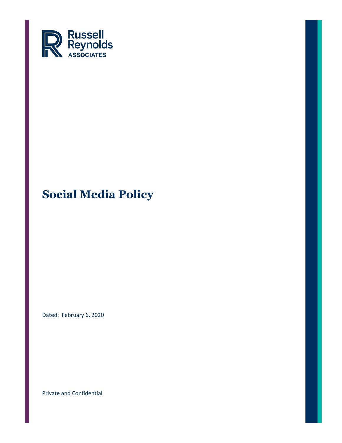

Dated: February 6, 2020

Private and Confidential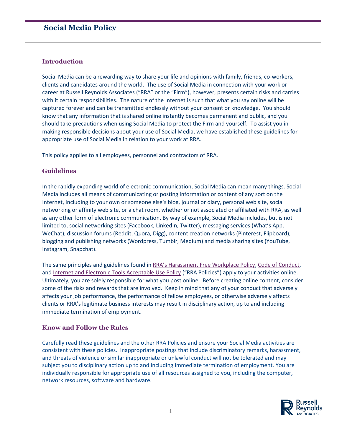### **Introduction**

Social Media can be a rewarding way to share your life and opinions with family, friends, co-workers, clients and candidates around the world. The use of Social Media in connection with your work or career at Russell Reynolds Associates ("RRA" or the "Firm"), however, presents certain risks and carries with it certain responsibilities. The nature of the Internet is such that what you say online will be captured forever and can be transmitted endlessly without your consent or knowledge. You should know that any information that is shared online instantly becomes permanent and public, and you should take precautions when using Social Media to protect the Firm and yourself. To assist you in making responsible decisions about your use of Social Media, we have established these guidelines for appropriate use of Social Media in relation to your work at RRA.

This policy applies to all employees, personnel and contractors of RRA.

## **Guidelines**

In the rapidly expanding world of electronic communication, Social Media can mean many things. Social Media includes all means of communicating or posting information or content of any sort on the Internet, including to your own or someone else's blog, journal or diary, personal web site, social networking or affinity web site, or a chat room, whether or not associated or affiliated with RRA, as well as any other form of electronic communication. By way of example, Social Media includes, but is not limited to, social networking sites (Facebook, LinkedIn, Twitter), messaging services (What's App, WeChat), discussion forums (Reddit, Quora, Digg), content creation networks (Pinterest, Flipboard), blogging and publishing networks (Wordpress, Tumblr, Medium) and media sharing sites (YouTube, Instagram, Snapchat).

The same principles and guidelines found in [RRA's Harassment Free Workplace Policy](https://rra.russellreynolds.com/CorporateCenter/hcm/TotalRewards/Documents/Harassment_and_EEO_Policy%20-%20Global.pdf), [Code of Conduct,](https://rra.russellreynolds.com/CorporateCenter/Legal/Documents/Code%20of%20Conduct.pdf) and [Internet and Electronic Tools Acceptable Use Policy](https://rra.russellreynolds.com/CorporateCenter/Legal/Documents/Acceptable%20Use%20Policy.pdf) ("RRA Policies") apply to your activities online. Ultimately, you are solely responsible for what you post online. Before creating online content, consider some of the risks and rewards that are involved. Keep in mind that any of your conduct that adversely affects your job performance, the performance of fellow employees, or otherwise adversely affects clients or RRA's legitimate business interests may result in disciplinary action, up to and including immediate termination of employment.

## **Know and Follow the Rules**

Carefully read these guidelines and the other RRA Policies and ensure your Social Media activities are consistent with these policies. Inappropriate postings that include discriminatory remarks, harassment, and threats of violence or similar inappropriate or unlawful conduct will not be tolerated and may subject you to disciplinary action up to and including immediate termination of employment. You are individually responsible for appropriate use of all resources assigned to you, including the computer, network resources, software and hardware.

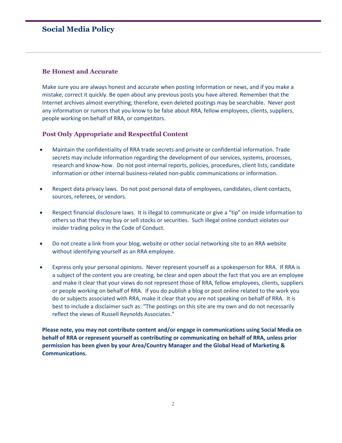#### **Be Honest and Accurate**

Make sure you are always honest and accurate when posting information or news, and if you make a mistake, correct it quickly. Be open about any previous posts you have altered. Remember that the Internet archives almost everything; therefore, even deleted postings may be searchable. Never post any information or rumors that you know to be false about RRA, fellow employees, clients, suppliers, people working on behalf of RRA, or competitors.

#### **Post Only Appropriate and Respectful Content**

- Maintain the confidentiality of RRA trade secrets and private or confidential information. Trade secrets may include information regarding the development of our services, systems, processes, research and know-how. Do not post internal reports, policies, procedures, client lists, candidate information or other internal business-related non-public communications or information.
- Respect data privacy laws. Do not post personal data of employees, candidates, client contacts, sources, referees, or vendors.
- Respect financial disclosure laws. It is illegal to communicate or give a "tip" on inside information to others so that they may buy or sell stocks or securities. Such illegal online conduct violates our insider trading policy in the Code of Conduct.
- Do not create a link from your blog, website or other social networking site to an RRA website without identifying yourself as an RRA employee.
- Express only your personal opinions. Never represent yourself as a spokesperson for RRA. If RRA is a subject of the content you are creating, be clear and open about the fact that you are an employee and make it clear that your views do not represent those of RRA, fellow employees, clients, suppliers or people working on behalf of RRA. If you do publish a blog or post online related to the work you do or subjects associated with RRA, make it clear that you are not speaking on behalf of RRA. It is best to include a disclaimer such as: "The postings on this site are my own and do not necessarily reflect the views of Russell Reynolds Associates."

**Please note, you may not contribute content and/or engage in communications using Social Media on behalf of RRA or represent yourself as contributing or communicating on behalf of RRA, unless prior permission has been given by your Area/Country Manager and the Global Head of Marketing & Communications.**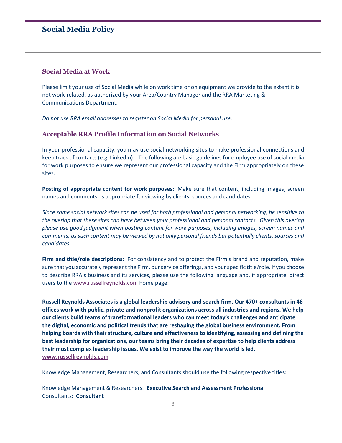#### **Social Media at Work**

Please limit your use of Social Media while on work time or on equipment we provide to the extent it is not work-related, as authorized by your Area/Country Manager and the RRA Marketing & Communications Department.

*Do not use RRA email addresses to register on Social Media for personal use.* 

#### **Acceptable RRA Profile Information on Social Networks**

In your professional capacity, you may use social networking sites to make professional connections and keep track of contacts (e.g. LinkedIn). The following are basic guidelines for employee use of social media for work purposes to ensure we represent our professional capacity and the Firm appropriately on these sites.

**Posting of appropriate content for work purposes:** Make sure that content, including images, screen names and comments, is appropriate for viewing by clients, sources and candidates.

*Since some social network sites can be used for both professional and personal networking, be sensitive to the overlap that these sites can have between your professional and personal contacts. Given this overlap please use good judgment when posting content for work purposes, including images, screen names and comments, as such content may be viewed by not only personal friends but potentially clients, sources and candidates.*

**Firm and title/role descriptions:** For consistency and to protect the Firm's brand and reputation, make sure that you accurately represent the Firm, our service offerings, and your specific title/role. If you choose to describe RRA's business and its services, please use the following language and, if appropriate, direct users to the [www.russellreynolds.com](http://www.russellreynolds.com/) home page:

**Russell Reynolds Associates is a global leadership advisory and search firm. Our 470+ consultants in 46 offices work with public, private and nonprofit organizations across all industries and regions. We help our clients build teams of transformational leaders who can meet today's challenges and anticipate the digital, economic and political trends that are reshaping the global business environment. From helping boards with their structure, culture and effectiveness to identifying, assessing and defining the best leadership for organizations, our teams bring their decades of expertise to help clients address their most complex leadership issues. We exist to improve the way the world is led. [www.russellreynolds.com](http://www.russellreynolds.com/)**

Knowledge Management, Researchers, and Consultants should use the following respective titles:

Knowledge Management & Researchers: **Executive Search and Assessment Professional** Consultants: **Consultant**